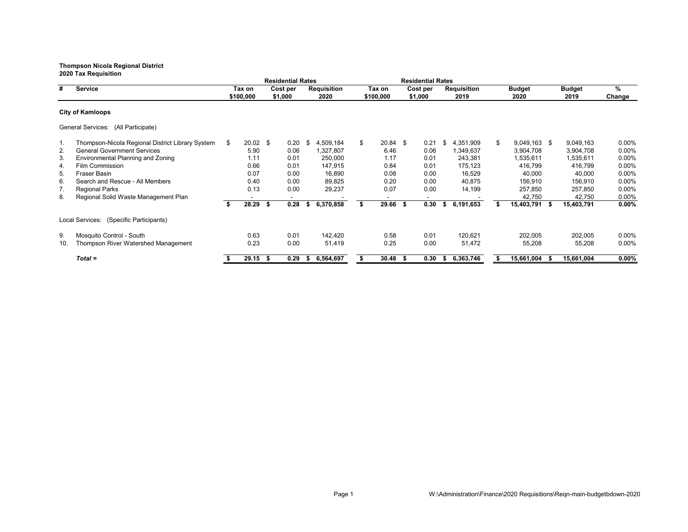**2020 Tax Requisition Residential Rates Residential Rates # Service Tax on Cost per Requisition Tax on Cost per Requisition Budget Budget % \$100,000 \$1,000 2020 \$100,000 \$1,000 2019 2020 2019 Change City of Kamloops** General Services: (All Participate) 1. Thompson-Nicola Regional District Library System \$ 20.02 \$ 0.20 \$ 4,509,184 \$ 20.84 \$ 0.21 \$ 4,351,909 \$ 9,049,163 \$ 9,049,163 0.00% 2. General Government Services 5.90 0.06 1,327,807 6.46 0.06 1,349,637 3,904,708 3,904,708 0.00% 3. Environmental Planning and Zoning 1.11 0.01 250,000 1.17 0.01 243,381 1,535,611 1,535,611 0.00% 4. Film Commission 0.66 0.01 147,915 0.84 0.01 175,123 416,799 416,799 0.00% 5. Fraser Basin 0.07 0.00 16,890 0.08 0.00 16,529 40,000 40,000 0.00% 6. Search and Rescue - All Members 0.40 0.00 89,825 0.20 0.00 40,875 156,910 156,910 0.00% 7. Regional Parks 0.03 0.00 29,237 0.00 14,199 257,850 257,850 0.00% 8. Regional Solid Waste Management Plan **- - - - - - - - - - - - - - - - - 42,750** 42,750 0.00%<br>
\$ 28.29 \$ 0.28 \$ 6.370.858 \$ 29.66 \$ 0.30 \$ 6.191.653 \$ 15.403,791 \$ 15.403,791 0.00% **\$ 28.29 \$ 0.28 \$ 6,370,858 \$ 29.66 \$ 0.30 \$ 6,191,653 \$ 15,403,791 \$ 15,403,791 0.00%** Local Services: (Specific Participants) 9. Mosquito Control - South 0.63 0.01 142,420 0.58 0.01 120,621 202,005 202,005 0.00% 10. Thompson River Watershed Management 0.23 0.00 51,419 0.25 0.00 51,472 55,208 55,208 0.00% *Total =* **\$ 29.15 \$ 0.29 \$ 6,564,697 \$ 30.48 \$ 0.30 \$ 6,363,746 \$ 15,661,004 \$ 15,661,004 0.00%**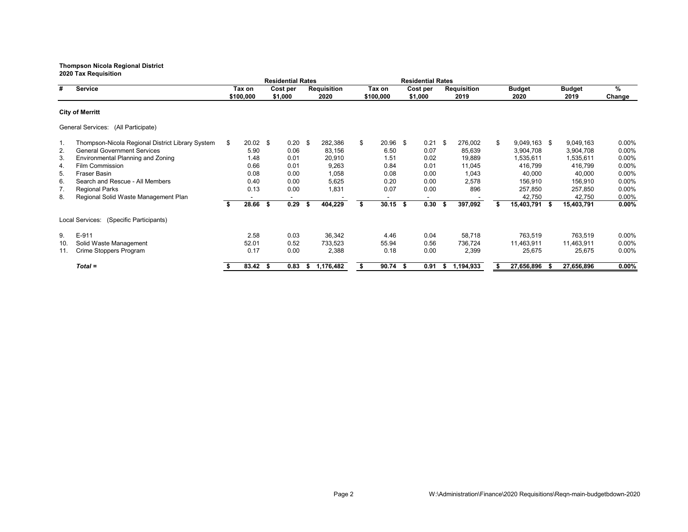**Residential Rates Residential Rates # Service Tax on Cost per Requisition Tax on Cost per Requisition Budget Budget % \$100,000 \$1,000 2020 \$100,000 \$1,000 2019 2020 2019 Change City of Merritt** General Services: (All Participate) 1. Thompson-Nicola Regional District Library System \$ 20.02 \$ 0.20 \$ 282,386 \$ 20.96 \$ 0.21 \$ 276,002 \$ 9,049,163 \$ 9,049,163 0.00% 2. General Government Services 5.90 0.06 83,156 6.50 0.07 85,639 3,904,708 3,904,708 0.00% 3. Environmental Planning and Zoning 1.48 0.01 20,910 1.51 0.02 19,889 1,535,611 1,535,611 0.00% 4. Film Commission 0.66 0.01 9,263 0.84 0.01 11,045 416,799 416,799 0.00% 5. Fraser Basin 0.08 0.00 1,058 0.08 0.00 1,043 40,000 40,000 0.00% 6. Search and Rescue - All Members 0.40 0.00 5,625 0.20 0.00 2,578 156,910 156,910 0.00% 7. Regional Parks 0.03 0.00 1,831 0.00 896 257,850 257,850 0.00% 8. Regional Solid Waste Management Plan **-** - - - - - - - - - - - - - - - 42,750 42,750 0.00%<br> **\$** 28.66 \$ 0.29 \$ 404.229 \$ 30.15 \$ 0.30 \$ 397.092 \$ 15.403.791 \$ 15.403.791 0.00% **\$ 28.66 \$ 0.29 \$ 404,229 \$ 30.15 \$ 0.30 \$ 397,092 \$ 15,403,791 \$ 15,403,791 0.00%** Local Services: (Specific Participants) 9. E-911 2.58 0.03 36,342 4.46 0.04 58,718 763,519 763,519 0.00% 10. Solid Waste Management 52.01 0.52 733,523 55.94 0.56 736,724 11,463,911 11,463,911 0.00% 11. Crime Stoppers Program  $0.17$   $0.00$   $0.388$   $0.18$   $0.00$   $0.399$   $0.5675$   $0.575$ *Total =* **\$ 83.42 \$ 0.83 \$ 1,176,482 \$ 90.74 \$ 0.91 \$ 1,194,933 \$ 27,656,896 \$ 27,656,896 0.00%**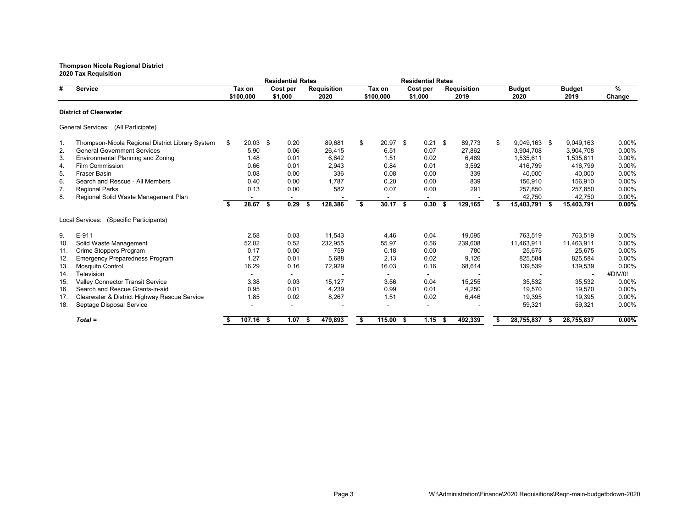**2020 Tax Requisition Residential Rates Residential Rates # Service Tax on Cost per Requisition Tax on Cost per Requisition Budget Budget % \$100,000 \$1,000 2020 \$100,000 \$1,000 2019 2020 2019 Change District of Clearwater** General Services: (All Participate) 1. Thompson-Nicola Regional District Library System \$ 20.03 \$ 0.20 89,681 \$ 20.97 \$ 0.21 \$ 89,773 \$ 9,049,163 \$ 9,049,163 0.00% 2. General Government Services 5.90 0.06 26,415 6.51 0.07 27,862 3,904,708 3,904,708 0.00% 3. Environmental Planning and Zoning 1.48 0.01 6,642 1.51 0.02 6,469 1,535,611 1,535,611 0.00% 4. Film Commission 0.66 0.01 2,943 0.84 0.01 3,592 416,799 416,799 0.00% 5. Fraser Basin 0.08 0.00 336 0.08 0.00 339 40,000 40,000 0.00% 6. Search and Rescue - All Members 0.40 0.00 1,787 0.20 0.00 839 156,910 156,910 0.00% 7. Regional Parks 0.03 0.00 582 0.00 291 257,850 257,850 0.00% 8. Regional Solid Waste Management Plan **- - - - - - - - - - - - - - - - 42,750** 42,750 0.00%<br> **\$** 28.67 \$ 0.29 \$ 128,386 \$ 30.17 \$ 0.30 \$ 129,165 \$ 15,403,791 \$ 15,403,791 0.00% **\$ 28.67 \$ 0.29 \$ 128,386 \$ 30.17 \$ 0.30 \$ 129,165 \$ 15,403,791 \$ 15,403,791 0.00%** Local Services: (Specific Participants) 9. E-911 2.58 0.03 11,543 4.46 0.04 19,095 763,519 763,519 0.00% 10. Solid Waste Management 52.02 0.52 232,955 55.97 0.56 239,608 11,463,911 11,463,911 0.00% 11. Crime Stoppers Program 0.17 0.00 759 0.18 0.00 780 25,675 25,675 0.00% 12. Emergency Preparedness Program 1.27 0.01 5,688 2.13 0.02 9,126 825,584 825,584 0.00% 13. Mosquito Control 16.29 0.16 72,929 16.03 0.16 68,614 139,539 139,539 0.00% 14. Television - - - - - - - - #DIV/0! 15. Valley Connector Transit Service 3.38 0.03 15,127 3.56 0.04 15,255 35,532 35,532 0.00% 16. Search and Rescue Grants-in-aid 17. Clearwater & District Highway Rescue Service 1.85 0.02 8,267 1.51 0.02 6,446 19,395 19,395 0.00% 18. Septage Disposal Service - - - - - - 59,321 59,321 0.00% *Total =* **\$ 107.16 \$ 1.07 \$ 479,893 \$ 115.00 \$ 1.15 \$ 492,339 \$ 28,755,837 \$ 28,755,837 0.00%**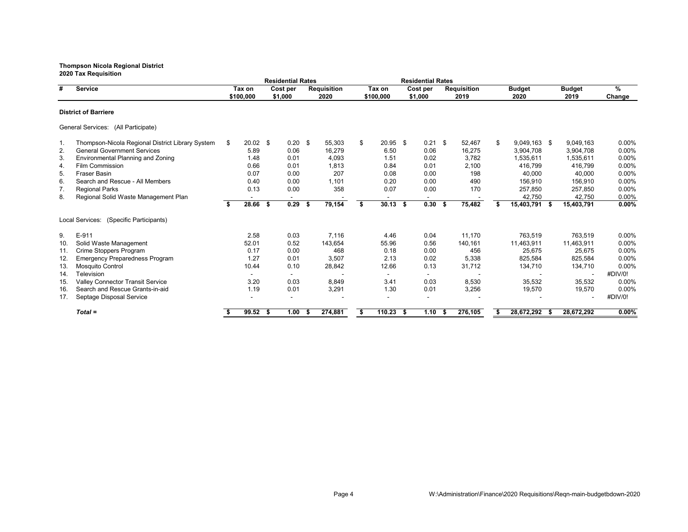|                             |                                                  |    |                     |      | <b>Residential Rates</b> |      |                            |    |                     |  | <b>Residential Rates</b> |      |                            |    |                       |      |                       |             |
|-----------------------------|--------------------------------------------------|----|---------------------|------|--------------------------|------|----------------------------|----|---------------------|--|--------------------------|------|----------------------------|----|-----------------------|------|-----------------------|-------------|
| #                           | <b>Service</b>                                   |    | Tax on<br>\$100,000 |      | Cost per<br>\$1,000      |      | <b>Requisition</b><br>2020 |    | Tax on<br>\$100,000 |  | Cost per<br>\$1,000      |      | <b>Requisition</b><br>2019 |    | <b>Budget</b><br>2020 |      | <b>Budget</b><br>2019 | %<br>Change |
| <b>District of Barriere</b> |                                                  |    |                     |      |                          |      |                            |    |                     |  |                          |      |                            |    |                       |      |                       |             |
|                             | General Services: (All Participate)              |    |                     |      |                          |      |                            |    |                     |  |                          |      |                            |    |                       |      |                       |             |
| 1.                          | Thompson-Nicola Regional District Library System | S. | $20.02$ \$          |      | $0.20$ \$                |      | 55,303                     | \$ | $20.95$ \$          |  | $0.21$ \$                |      | 52,467                     | \$ | 9,049,163 \$          |      | 9,049,163             | 0.00%       |
| 2.                          | <b>General Government Services</b>               |    | 5.89                |      | 0.06                     |      | 16,279                     |    | 6.50                |  | 0.06                     |      | 16,275                     |    | 3,904,708             |      | 3,904,708             | 0.00%       |
| 3.                          | Environmental Planning and Zoning                |    | 1.48                |      | 0.01                     |      | 4.093                      |    | 1.51                |  | 0.02                     |      | 3.782                      |    | 1.535.611             |      | 1,535,611             | 0.00%       |
| 4.                          | <b>Film Commission</b>                           |    | 0.66                |      | 0.01                     |      | 1,813                      |    | 0.84                |  | 0.01                     |      | 2,100                      |    | 416,799               |      | 416,799               | 0.00%       |
| 5.                          | <b>Fraser Basin</b>                              |    | 0.07                |      | 0.00                     |      | 207                        |    | 0.08                |  | 0.00                     |      | 198                        |    | 40,000                |      | 40,000                | 0.00%       |
| 6.                          | Search and Rescue - All Members                  |    | 0.40                |      | 0.00                     |      | 1,101                      |    | 0.20                |  | 0.00                     |      | 490                        |    | 156,910               |      | 156,910               | 0.00%       |
| 7.                          | <b>Regional Parks</b>                            |    | 0.13                |      | 0.00                     |      | 358                        |    | 0.07                |  | 0.00                     |      | 170                        |    | 257,850               |      | 257,850               | 0.00%       |
| 8.                          | Regional Solid Waste Management Plan             |    |                     |      |                          |      |                            |    |                     |  |                          |      |                            |    | 42,750                |      | 42,750                | 0.00%       |
|                             |                                                  |    | 28.66               | - \$ | 0.29                     | \$   | 79,154                     | \$ | $30.13$ \$          |  | 0.30                     | - \$ | 75,482                     |    | 15,403,791            | - \$ | 15,403,791            | 0.00%       |
|                             | Local Services: (Specific Participants)          |    |                     |      |                          |      |                            |    |                     |  |                          |      |                            |    |                       |      |                       |             |
| 9.                          | E-911                                            |    | 2.58                |      | 0.03                     |      | 7.116                      |    | 4.46                |  | 0.04                     |      | 11.170                     |    | 763,519               |      | 763.519               | $0.00\%$    |
| 10.                         | Solid Waste Management                           |    | 52.01               |      | 0.52                     |      | 143,654                    |    | 55.96               |  | 0.56                     |      | 140,161                    |    | 11,463,911            |      | 11,463,911            | 0.00%       |
| 11.                         | <b>Crime Stoppers Program</b>                    |    | 0.17                |      | 0.00                     |      | 468                        |    | 0.18                |  | 0.00                     |      | 456                        |    | 25,675                |      | 25,675                | 0.00%       |
| 12.                         | <b>Emergency Preparedness Program</b>            |    | 1.27                |      | 0.01                     |      | 3,507                      |    | 2.13                |  | 0.02                     |      | 5,338                      |    | 825,584               |      | 825,584               | 0.00%       |
| 13.                         | <b>Mosquito Control</b>                          |    | 10.44               |      | 0.10                     |      | 28,842                     |    | 12.66               |  | 0.13                     |      | 31,712                     |    | 134,710               |      | 134,710               | 0.00%       |
| 14.                         | Television                                       |    |                     |      |                          |      |                            |    |                     |  |                          |      |                            |    |                       |      |                       | #DIV/0!     |
| 15.                         | <b>Valley Connector Transit Service</b>          |    | 3.20                |      | 0.03                     |      | 8,849                      |    | 3.41                |  | 0.03                     |      | 8,530                      |    | 35,532                |      | 35,532                | 0.00%       |
| 16.                         | Search and Rescue Grants-in-aid                  |    | 1.19                |      | 0.01                     |      | 3,291                      |    | 1.30                |  | 0.01                     |      | 3,256                      |    | 19,570                |      | 19,570                | 0.00%       |
| 17.                         | Septage Disposal Service                         |    |                     |      |                          |      |                            |    |                     |  |                          |      |                            |    |                       |      |                       | #DIV/0!     |
|                             | $Total =$                                        |    | 99.52 \$            |      | 1.00                     | - \$ | 274,881                    |    | $110.23$ \$         |  | 1.10                     | - 5  | 276,105                    |    | 28,672,292 \$         |      | 28,672,292            | $0.00\%$    |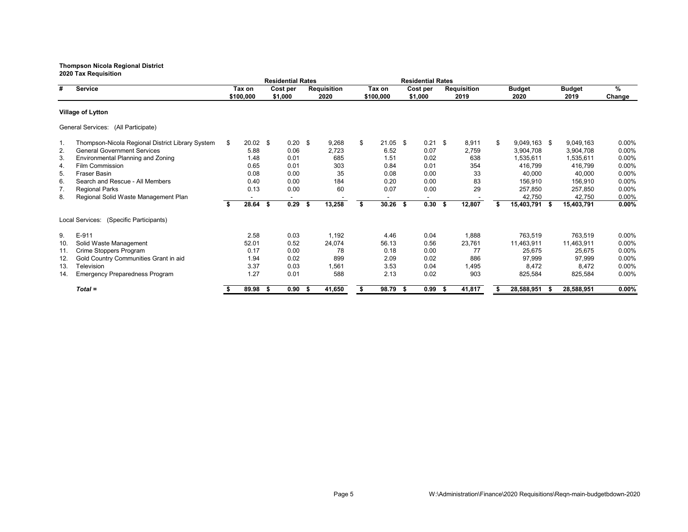|                          |                                                  |     |                     |     | <b>Residential Rates</b> |      |                            |                     |            |                     | <b>Residential Rates</b> |                     |        |                       |                |      |                       |             |
|--------------------------|--------------------------------------------------|-----|---------------------|-----|--------------------------|------|----------------------------|---------------------|------------|---------------------|--------------------------|---------------------|--------|-----------------------|----------------|------|-----------------------|-------------|
| #                        | <b>Service</b>                                   |     | Tax on<br>\$100,000 |     | Cost per<br>\$1,000      |      | <b>Requisition</b><br>2020 | Tax on<br>\$100,000 |            | Cost per<br>\$1,000 |                          | Requisition<br>2019 |        | <b>Budget</b><br>2020 |                |      | <b>Budget</b><br>2019 | %<br>Change |
| <b>Village of Lytton</b> |                                                  |     |                     |     |                          |      |                            |                     |            |                     |                          |                     |        |                       |                |      |                       |             |
|                          | General Services: (All Participate)              |     |                     |     |                          |      |                            |                     |            |                     |                          |                     |        |                       |                |      |                       |             |
| 1.                       | Thompson-Nicola Regional District Library System | \$. | $20.02$ \$          |     | 0.20                     | - \$ | 9,268                      | \$                  | $21.05$ \$ |                     | $0.21$ \$                |                     | 8,911  | \$                    | $9,049,163$ \$ |      | 9,049,163             | $0.00\%$    |
| 2.                       | <b>General Government Services</b>               |     | 5.88                |     | 0.06                     |      | 2,723                      |                     | 6.52       |                     | 0.07                     |                     | 2,759  |                       | 3,904,708      |      | 3,904,708             | $0.00\%$    |
| 3.                       | Environmental Planning and Zoning                |     | 1.48                |     | 0.01                     |      | 685                        |                     | 1.51       |                     | 0.02                     |                     | 638    |                       | 1,535,611      |      | 1,535,611             | $0.00\%$    |
| 4.                       | Film Commission                                  |     | 0.65                |     | 0.01                     |      | 303                        |                     | 0.84       |                     | 0.01                     |                     | 354    |                       | 416,799        |      | 416,799               | $0.00\%$    |
| 5.                       | <b>Fraser Basin</b>                              |     | 0.08                |     | 0.00                     |      | 35                         |                     | 0.08       |                     | 0.00                     |                     | 33     |                       | 40,000         |      | 40,000                | $0.00\%$    |
| 6.                       | Search and Rescue - All Members                  |     | 0.40                |     | 0.00                     |      | 184                        |                     | 0.20       |                     | 0.00                     |                     | 83     |                       | 156,910        |      | 156,910               | $0.00\%$    |
| 7.                       | <b>Regional Parks</b>                            |     | 0.13                |     | 0.00                     |      | 60                         |                     | 0.07       |                     | 0.00                     |                     | 29     |                       | 257,850        |      | 257,850               | 0.00%       |
| 8.                       | Regional Solid Waste Management Plan             |     |                     |     | $\overline{\phantom{a}}$ |      |                            |                     |            |                     |                          |                     |        |                       | 42,750         |      | 42.750                | 0.00%       |
|                          |                                                  | \$  | 28.64               | \$  | 0.29                     | s.   | 13,258                     | \$                  | 30.26      | Ŝ.                  | 0.30                     | - \$                | 12,807 | \$                    | 15,403,791     | - \$ | 15,403,791            | $0.00\%$    |
|                          | Local Services: (Specific Participants)          |     |                     |     |                          |      |                            |                     |            |                     |                          |                     |        |                       |                |      |                       |             |
| 9.                       | E-911                                            |     | 2.58                |     | 0.03                     |      | 1,192                      |                     | 4.46       |                     | 0.04                     |                     | 1,888  |                       | 763,519        |      | 763,519               | $0.00\%$    |
| 10.                      | Solid Waste Management                           |     | 52.01               |     | 0.52                     |      | 24,074                     |                     | 56.13      |                     | 0.56                     |                     | 23,761 |                       | 11,463,911     |      | 11,463,911            | $0.00\%$    |
| 11.                      | Crime Stoppers Program                           |     | 0.17                |     | 0.00                     |      | 78                         |                     | 0.18       |                     | 0.00                     |                     | 77     |                       | 25,675         |      | 25,675                | $0.00\%$    |
| 12.                      | Gold Country Communities Grant in aid            |     | 1.94                |     | 0.02                     |      | 899                        |                     | 2.09       |                     | 0.02                     |                     | 886    |                       | 97,999         |      | 97,999                | $0.00\%$    |
| 13.                      | Television                                       |     | 3.37                |     | 0.03                     |      | 1,561                      |                     | 3.53       |                     | 0.04                     |                     | 1,495  |                       | 8,472          |      | 8,472                 | $0.00\%$    |
| 14.                      | <b>Emergency Preparedness Program</b>            |     | 1.27                |     | 0.01                     |      | 588                        |                     | 2.13       |                     | 0.02                     |                     | 903    |                       | 825,584        |      | 825,584               | 0.00%       |
|                          | $Total =$                                        |     | 89.98               | -S. | 0.90                     | - \$ | 41,650                     |                     | 98.79      | - \$                | 0.99                     |                     | 41,817 |                       | 28,588,951     | - \$ | 28,588,951            | $0.00\%$    |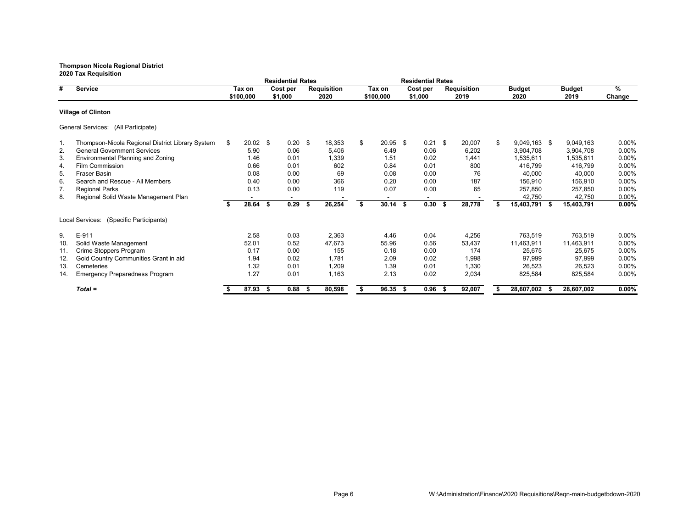**2020 Tax Requisition Residential Rates Residential Rates # Service Tax on Cost per Requisition Tax on Cost per Requisition Budget Budget % \$100,000 \$1,000 2020 \$100,000 \$1,000 2019 2020 2019 Change Village of Clinton** General Services: (All Participate) 1. Thompson-Nicola Regional District Library System \$ 20.02 \$ 0.20 \$ 18,353 \$ 20.95 \$ 0.21 \$ 20,007 \$ 9,049,163 \$ 9,049,163 0.00% 2. General Government Services 5.90 0.06 5,406 6.49 0.06 6,202 3,904,708 3,904,708 0.00% 3. Environmental Planning and Zoning 1.46 0.01 1,339 1.51 0.02 1,441 1,535,611 1,535,611 0.00% 4. Film Commission 0.66 0.01 602 0.84 0.01 800 416,799 416,799 0.00% 5. Fraser Basin 0.08 0.00 69 0.08 0.00 76 40,000 40,000 0.00% 6. Search and Rescue - All Members 0.40 0.00 366 0.20 0.00 187 156,910 156,910 0.00% 7. Regional Parks 0.03 0.00 119 0.00 65 257,850 257,850 0.00% 8. Regional Solid Waste Management Plan **-** - - - - - - - - - - - - - - 42,750 42,750 0.00%<br> **\$** 28.64 \$ 0.29 \$ 26.254 \$ 30.14 \$ 0.30 \$ 28,778 \$ 15,403,791 \$ 15,403,791 0.00% **\$ 28.64 \$ 0.29 \$ 26,254 \$ 30.14 \$ 0.30 \$ 28,778 \$ 15,403,791 \$ 15,403,791 0.00%** Local Services: (Specific Participants) 9. E-911 2.58 0.03 2,363 4.46 0.04 4,256 763,519 763,519 0.00% 10. Solid Waste Management 52.01 0.52 47,673 55.96 0.56 53,437 11,463,911 11,463,911 0.00% 11. Crime Stoppers Program 0.17 0.00 155 0.18 0.00 174 25,675 25,675 0.00% 12. Gold Country Communities Grant in aid 1.94 0.02 1,781 2.09 0.02 1,998 97,999 97,999 0.00% 13. Cemeteries 1.32 0.01 1,209 1.39 0.01 1,330 26,523 26,523 0.00% 14. Emergency Preparedness Program 1.27 0.01 1,163 2.13 0.02 2,034 825,584 825,584 0.00% *Total =* **\$ 87.93 \$ 0.88 \$ 80,598 \$ 96.35 \$ 0.96 \$ 92,007 \$ 28,607,002 \$ 28,607,002 0.00%**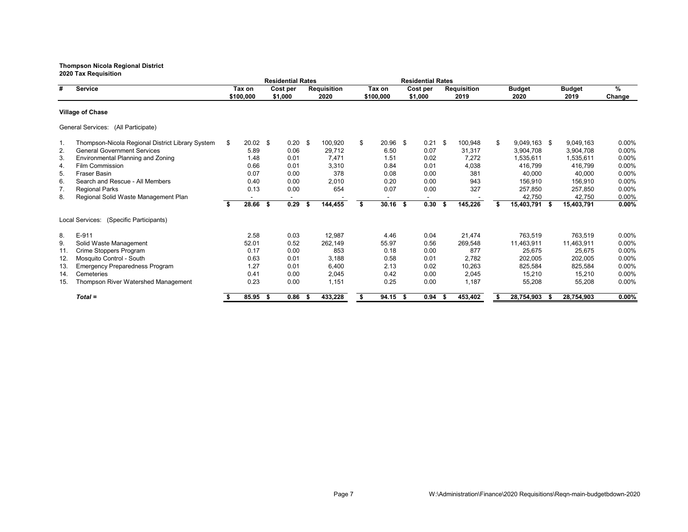**2020 Tax Requisition Residential Rates Residential Rates # Service Tax on Cost per Requisition Tax on Cost per Requisition Budget Budget % \$100,000 \$1,000 2020 \$100,000 \$1,000 2019 2020 2019 Change Village of Chase** General Services: (All Participate) 1. Thompson-Nicola Regional District Library System \$ 20.02 \$ 0.20 \$ 100,920 \$ 20.96 \$ 0.21 \$ 100,948 \$ 9,049,163 \$ 9,049,163 0.00% 2. General Government Services 5.89 0.06 29,712 6.50 0.07 31,317 3,904,708 3,904,708 0.00% 1.48 0.01 7,471 0.02 7,272 1,535,611 1,535,611 0.00% 1.48 0.01 7,471 1.51 0.02 7,272 1,535,611 1,535,611 0.00%<br>1.626 0.01 3,310 0.04 0.01 4,038 416,799 416,799 0.00% 4. Film Commission 0.66 0.01 3,310 0.84 0.01 4,038 416,799 416,799 0.00% 5. Fraser Basin 0.07 0.00 378 0.08 0.00 381 40,000 40,000 0.00% 6. Search and Rescue - All Members 0.40 0.00 2,010 0.20 0.00 943 156,910 156,910 0.00% 7. Regional Parks 0.03 0.00 654 0.00 327 257,850 257,850 0.00% 8. Regional Solid Waste Management Plan **-** - - - - - - - - - - - - - - - 42,750 42,750 0.00%<br> **\$** 28.66 \$ 0.29 \$ 144.455 \$ 30.16 \$ 0.30 \$ 145.226 \$ 15.403,791 \$ 15.403,791 0.00% **\$ 28.66 \$ 0.29 \$ 144,455 \$ 30.16 \$ 0.30 \$ 145,226 \$ 15,403,791 \$ 15,403,791 0.00%** Local Services: (Specific Participants) 8. E-911 2.58 0.03 12,987 4.46 0.04 21,474 763,519 763,519 0.00% 9. Solid Waste Management 52.01 0.52 262,149 55.97 0.56 269,548 11,463,911 11,463,911 0.00% 11. Crime Stoppers Program 0.17 0.00 853 0.18 0.00 877 25,675 25,675 0.00% 12. Mosquito Control - South 0.63 0.01 3,188 0.58 0.01 2,782 202,005 202,005 0.00% 13. Emergency Preparedness Program 1.27 0.01 6,400 2.13 0.02 10,263 825,584 825,584 0.00% 14. Cemeteries 0.41 0.00 2,045 0.42 0.00 2,045 15,210 15,210 0.00% 15. Thompson River Watershed Management 0.23 0.00 1,151 0.25 0.00 1,187 55,208 55,208 0.00% *Total =* **\$ 85.95 \$ 0.86 \$ 433,228 \$ 94.15 \$ 0.94 \$ 453,402 \$ 28,754,903 \$ 28,754,903 0.00%**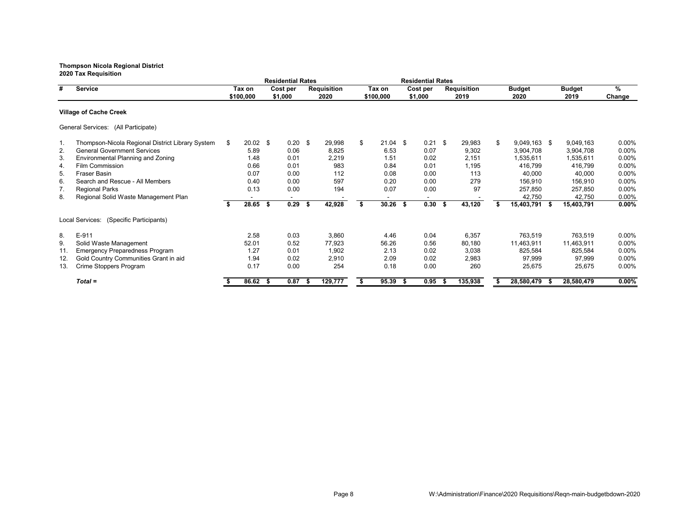**2020 Tax Requisition Residential Rates Residential Rates # Service Tax on Cost per Requisition Tax on Cost per Requisition Budget Budget % \$100,000 \$1,000 2020 \$100,000 \$1,000 2019 2020 2019 Change Village of Cache Creek** General Services: (All Participate) 1. Thompson-Nicola Regional District Library System \$ 20.02 \$ 0.20 \$ 29,998 \$ 21.04 \$ 0.21 \$ 29,983 \$ 9,049,163 \$ 9,049,163 0.00% 2. General Government Services 5.89 0.06 8,825 6.53 0.07 9,302 3,904,708 3,904,708 0.00% 3. Environmental Planning and Zoning 1.48 0.01 2,219 1.51 0.02 2,151 1,535,611 1,535,611 0.00% 4. Film Commission 0.66 0.01 983 0.84 0.01 1,195 416,799 416,799 0.00% 5. Fraser Basin 0.07 0.00 112 0.08 0.00 113 40,000 40,000 0.00% 6. Search and Rescue - All Members 0.40 0.00 597 0.20 0.00 279 156,910 156,910 0.00% 7. Regional Parks 0.03 0.00 194 0.07 0.00 97 257,850 257,850 0.00% 8. Regional Solid Waste Management Plan **-** - - - - - - - - - - - - - - - 42,750 42,750 0.00%<br> **\$** 28.65 \$ 0.29 \$ 42,928 \$ 30.26 \$ 0.30 \$ 43,120 \$ 15,403,791 \$ 15,403,791 0.00% **\$ 28.65 \$ 0.29 \$ 42,928 \$ 30.26 \$ 0.30 \$ 43,120 \$ 15,403,791 \$ 15,403,791 0.00%** Local Services: (Specific Participants) 8. E-911 2.58 0.03 3,860 4.46 0.04 6,357 763,519 763,519 0.00% 9. Solid Waste Management 52.01 0.52 77,923 56.26 0.56 80,180 11,463,911 11,463,911 0.00% 11. Emergency Preparedness Program 1.27 0.01 1,902 2.13 0.02 3,038 825,584 825,584 0.00% 12. Gold Country Communities Grant in aid 1.94 0.02 2,910 2.09 0.02 2,983 97,999 97,999 0.00% 13. Crime Stoppers Program *Total =* **\$ 86.62 \$ 0.87 \$ 129,777 \$ 95.39 \$ 0.95 \$ 135,938 \$ 28,580,479 \$ 28,580,479 0.00%**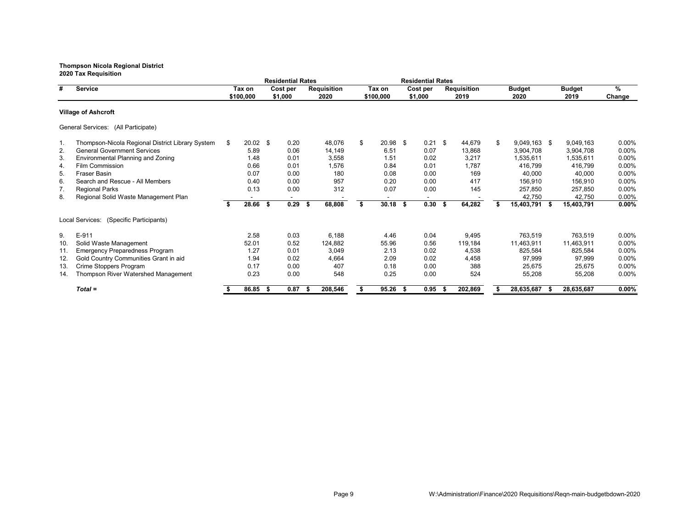**2020 Tax Requisition Residential Rates Residential Rates # Service Tax on Cost per Requisition Tax on Cost per Requisition Budget Budget % \$100,000 \$1,000 2020 \$100,000 \$1,000 2019 2020 2019 Change Village of Ashcroft** General Services: (All Participate) 1. Thompson-Nicola Regional District Library System \$ 20.02 \$ 0.20 48,076 \$ 20.98 \$ 0.21 \$ 44,679 \$ 9,049,163 \$ 9,049,163 0.00% 2. General Government Services 5.89 0.06 14,149 6.51 0.07 13,868 3,904,708 3,904,708 0.00% 3. Environmental Planning and Zoning 1.48 0.01 3,558 1.51 0.02 3,217 1,535,611 1,535,611 0.00% 4. Film Commission 0.66 0.01 1,576 0.84 0.01 1,787 416,799 416,799 0.00% 5. Fraser Basin 0.07 0.00 180 0.08 0.00 169 40,000 40,000 0.00% 6. Search and Rescue - All Members 0.40 0.00 957 0.20 0.00 417 156,910 156,910 0.00% 7. Regional Parks 0.03 0.00 312 0.00 145 257,850 257,850 0.00% 8. Regional Solid Waste Management Plan **-** - - - - - - - - - - - - - - - 42,750 42,750 0.00%<br> **\$** 28.66 \$ 0.29 \$ 68.808 \$ 30.18 \$ 0.30 \$ 64.282 \$ 15.403,791 \$ 15.403,791 0.00% **\$ 28.66 \$ 0.29 \$ 68,808 \$ 30.18 \$ 0.30 \$ 64,282 \$ 15,403,791 \$ 15,403,791 0.00%** Local Services: (Specific Participants) 9. E-911 2.58 0.03 6,188 4.46 0.04 9,495 763,519 763,519 0.00% 10. Solid Waste Management 52.01 0.52 124,882 55.96 0.56 119,184 11,463,911 11,463,911 0.00% 11. Emergency Preparedness Program 1.27 0.01 3,049 2.13 0.02 4,538 825,584 825,584 0.00% 12. Gold Country Communities Grant in aid 1.94 0.02 4,664 2.09 0.02 4,458 97,999 97,999 0.00% 13. Crime Stoppers Program 0.17 0.00 407 0.18 0.00 388 25,675 25,675 0.00% 14. Thompson River Watershed Management 0.23 0.00 548 0.25 0.00 524 55,208 55,208 0.00% *Total =* **\$ 86.85 \$ 0.87 \$ 208,546 \$ 95.26 \$ 0.95 \$ 202,869 \$ 28,635,687 \$ 28,635,687 0.00%**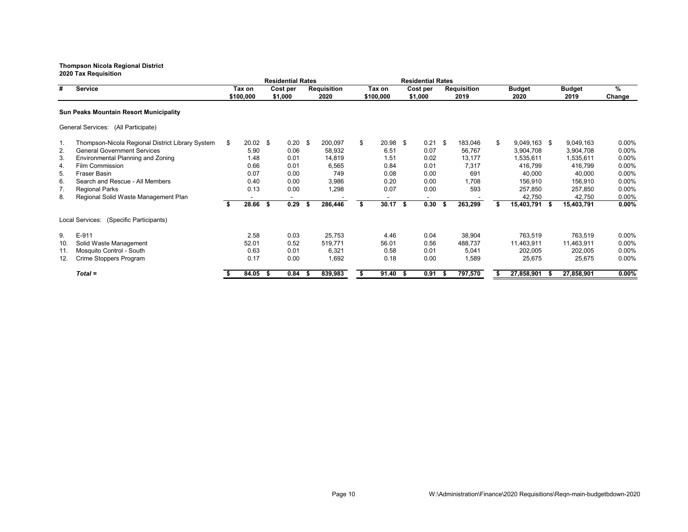**2020 Tax Requisition Residential Rates Residential Rates # Service Tax on Cost per Requisition Tax on Cost per Requisition Budget Budget % \$100,000 \$1,000 2020 \$100,000 \$1,000 2019 2020 2019 Change Sun Peaks Mountain Resort Municipality** General Services: (All Participate) 1. Thompson-Nicola Regional District Library System \$ 20.02 \$ 0.20 \$ 200,097 \$ 20.98 \$ 0.21 \$ 183,046 \$ 9,049,163 \$ 9,049,163 0.00% 2. General Government Services 5.90 0.06 58,932 6.51 0.07 56,767 3,904,708 3,904,708 0.00% 3. Environmental Planning and Zoning 1.48 0.01 14,819 1.51 0.02 13,177 1,535,611 1,535,611 0.00% 4. Film Commission 0.66 0.01 6,565 0.84 0.01 7,317 416,799 416,799 0.00% 5. Fraser Basin 0.07 0.00 749 0.08 0.00 691 40,000 40,000 0.00% 6. Search and Rescue - All Members 0.40 0.00 3,986 0.20 0.00 1,708 156,910 156,910 0.00% 7. Regional Parks 0.03 0.00 1,298 0.00 593 257,850 257,850 0.00% 8. Regional Solid Waste Management Plan **-** - - - - - - - - - - - - - - - - 42,750 42,750 0.00%<br> **\$** 28.66 \$ 0.29 \$ 286.446 \$ 30.17 \$ 0.30 \$ 263,299 \$ 15,403,791 \$ 15,403,791 0.00% **\$ 28.66 \$ 0.29 \$ 286,446 \$ 30.17 \$ 0.30 \$ 263,299 \$ 15,403,791 \$ 15,403,791 0.00%** Local Services: (Specific Participants) 9. E-911 2.58 0.03 25,753 4.46 0.04 38,904 763,519 763,519 0.00% 10. Solid Waste Management 52.01 0.52 519,771 56.01 0.56 488,737 11,463,911 11,463,911 0.00% 11. Mosquito Control - South 0.63 0.01 6,321 0.58 0.01 5,041 202,005 202,005 0.00% 12. Crime Stoppers Program 0.17 0.00 1,692 0.18 0.00 1,589 25,675 25,675 0.00% *Total =* **\$ 84.05 \$ 0.84 \$ 839,983 \$ 91.40 \$ 0.91 \$ 797,570 \$ 27,858,901 \$ 27,858,901 0.00%**